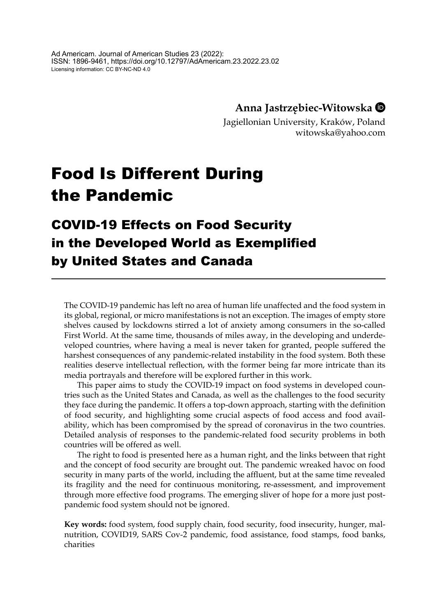## **Anna Jastrzębiec-Witowska**

Jagiellonian University, Kraków, Poland witowska@yahoo.com

# Food Is Different During the Pandemic

## COVID-19 Effects on Food Security in the Developed World as Exemplified by United States and Canada

The COVID-19 pandemic has left no area of human life unaffected and the food system in its global, regional, or micro manifestations is not an exception. The images of empty store shelves caused by lockdowns stirred a lot of anxiety among consumers in the so-called First World. At the same time, thousands of miles away, in the developing and underdeveloped countries, where having a meal is never taken for granted, people suffered the harshest consequences of any pandemic-related instability in the food system. Both these realities deserve intellectual reflection, with the former being far more intricate than its media portrayals and therefore will be explored further in this work.

This paper aims to study the COVID-19 impact on food systems in developed countries such as the United States and Canada, as well as the challenges to the food security they face during the pandemic. It offers a top-down approach, starting with the definition of food security, and highlighting some crucial aspects of food access and food availability, which has been compromised by the spread of coronavirus in the two countries. Detailed analysis of responses to the pandemic-related food security problems in both countries will be offered as well.

The right to food is presented here as a human right, and the links between that right and the concept of food security are brought out. The pandemic wreaked havoc on food security in many parts of the world, including the affluent, but at the same time revealed its fragility and the need for continuous monitoring, re-assessment, and improvement through more effective food programs. The emerging sliver of hope for a more just postpandemic food system should not be ignored.

**Key words:** food system, food supply chain, food security, food insecurity, hunger, malnutrition, COVID19, SARS Cov-2 pandemic, food assistance, food stamps, food banks, charities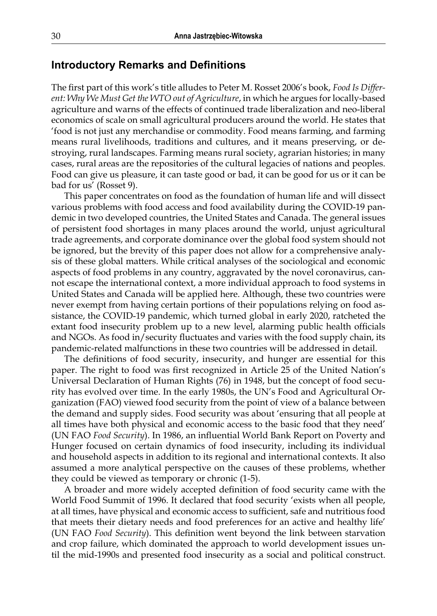#### **Introductory Remarks and Definitions**

The first part of this work's title alludes to Peter M. Rosset 2006's book, *Food Is Different: Why We Must Get the WTO out of Agriculture*, in which he argues for locally-based agriculture and warns of the effects of continued trade liberalization and neo-liberal economics of scale on small agricultural producers around the world. He states that 'food is not just any merchandise or commodity. Food means farming, and farming means rural livelihoods, traditions and cultures, and it means preserving, or destroying, rural landscapes. Farming means rural society, agrarian histories; in many cases, rural areas are the repositories of the cultural legacies of nations and peoples. Food can give us pleasure, it can taste good or bad, it can be good for us or it can be bad for us' (Rosset 9).

This paper concentrates on food as the foundation of human life and will dissect various problems with food access and food availability during the COVID-19 pandemic in two developed countries, the United States and Canada. The general issues of persistent food shortages in many places around the world, unjust agricultural trade agreements, and corporate dominance over the global food system should not be ignored, but the brevity of this paper does not allow for a comprehensive analysis of these global matters. While critical analyses of the sociological and economic aspects of food problems in any country, aggravated by the novel coronavirus, cannot escape the international context, a more individual approach to food systems in United States and Canada will be applied here. Although, these two countries were never exempt from having certain portions of their populations relying on food assistance, the COVID-19 pandemic, which turned global in early 2020, ratcheted the extant food insecurity problem up to a new level, alarming public health officials and NGOs. As food in/security fluctuates and varies with the food supply chain, its pandemic-related malfunctions in these two countries will be addressed in detail.

The definitions of food security, insecurity, and hunger are essential for this paper. The right to food was first recognized in Article 25 of the United Nation's Universal Declaration of Human Rights (76) in 1948, but the concept of food security has evolved over time. In the early 1980s, the UN's Food and Agricultural Organization (FAO) viewed food security from the point of view of a balance between the demand and supply sides. Food security was about 'ensuring that all people at all times have both physical and economic access to the basic food that they need' (UN FAO *Food Security*). In 1986, an influential World Bank Report on Poverty and Hunger focused on certain dynamics of food insecurity, including its individual and household aspects in addition to its regional and international contexts. It also assumed a more analytical perspective on the causes of these problems, whether they could be viewed as temporary or chronic (1-5).

A broader and more widely accepted definition of food security came with the World Food Summit of 1996. It declared that food security 'exists when all people, at all times, have physical and economic access to sufficient, safe and nutritious food that meets their dietary needs and food preferences for an active and healthy life' (UN FAO *Food Security*). This definition went beyond the link between starvation and crop failure, which dominated the approach to world development issues until the mid-1990s and presented food insecurity as a social and political construct.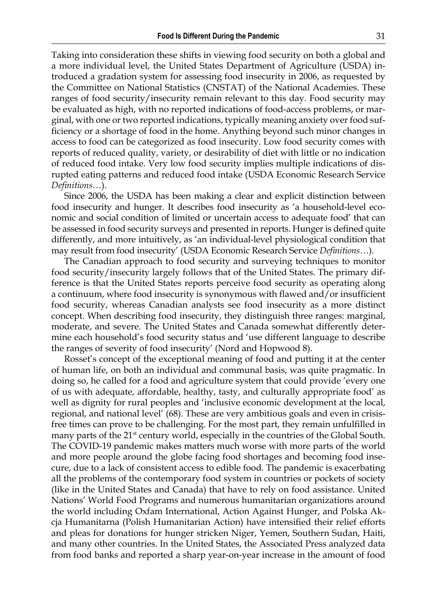Taking into consideration these shifts in viewing food security on both a global and a more individual level, the United States Department of Agriculture (USDA) introduced a gradation system for assessing food insecurity in 2006, as requested by the Committee on National Statistics (CNSTAT) of the National Academies. These ranges of food security/insecurity remain relevant to this day. Food security may be evaluated as high, with no reported indications of food-access problems, or marginal, with one or two reported indications, typically meaning anxiety over food sufficiency or a shortage of food in the home. Anything beyond such minor changes in access to food can be categorized as food insecurity. Low food security comes with reports of reduced quality, variety, or desirability of diet with little or no indication of reduced food intake. Very low food security implies multiple indications of disrupted eating patterns and reduced food intake (USDA Economic Research Service *Definitions…*).

Since 2006, the USDA has been making a clear and explicit distinction between food insecurity and hunger. It describes food insecurity as 'a household-level economic and social condition of limited or uncertain access to adequate food' that can be assessed in food security surveys and presented in reports. Hunger is defined quite differently, and more intuitively, as 'an individual-level physiological condition that may result from food insecurity' (USDA Economic Research Service *Definitions…*).

The Canadian approach to food security and surveying techniques to monitor food security/insecurity largely follows that of the United States. The primary difference is that the United States reports perceive food security as operating along a continuum, where food insecurity is synonymous with flawed and/or insufficient food security, whereas Canadian analysts see food insecurity as a more distinct concept. When describing food insecurity, they distinguish three ranges: marginal, moderate, and severe. The United States and Canada somewhat differently determine each household's food security status and 'use different language to describe the ranges of severity of food insecurity' (Nord and Hopwood 8).

Rosset's concept of the exceptional meaning of food and putting it at the center of human life, on both an individual and communal basis, was quite pragmatic. In doing so, he called for a food and agriculture system that could provide 'every one of us with adequate, affordable, healthy, tasty, and culturally appropriate food' as well as dignity for rural peoples and 'inclusive economic development at the local, regional, and national level' (68). These are very ambitious goals and even in crisisfree times can prove to be challenging. For the most part, they remain unfulfilled in many parts of the 21<sup>st</sup> century world, especially in the countries of the Global South. The COVID-19 pandemic makes matters much worse with more parts of the world and more people around the globe facing food shortages and becoming food insecure, due to a lack of consistent access to edible food. The pandemic is exacerbating all the problems of the contemporary food system in countries or pockets of society (like in the United States and Canada) that have to rely on food assistance. United Nations' World Food Programs and numerous humanitarian organizations around the world including Oxfam International, Action Against Hunger, and Polska Akcja Humanitarna (Polish Humanitarian Action) have intensified their relief efforts and pleas for donations for hunger stricken Niger, Yemen, Southern Sudan, Haiti, and many other countries. In the United States, the Associated Press analyzed data from food banks and reported a sharp year-on-year increase in the amount of food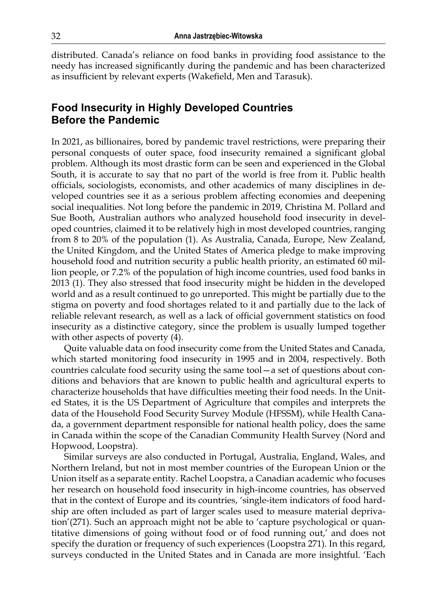distributed. Canada's reliance on food banks in providing food assistance to the needy has increased significantly during the pandemic and has been characterized as insufficient by relevant experts (Wakefield, Men and Tarasuk).

## **Food Insecurity in Highly Developed Countries Before the Pandemic**

In 2021, as billionaires, bored by pandemic travel restrictions, were preparing their personal conquests of outer space, food insecurity remained a significant global problem. Although its most drastic form can be seen and experienced in the Global South, it is accurate to say that no part of the world is free from it. Public health officials, sociologists, economists, and other academics of many disciplines in developed countries see it as a serious problem affecting economies and deepening social inequalities. Not long before the pandemic in 2019, Christina M. Pollard and Sue Booth, Australian authors who analyzed household food insecurity in developed countries, claimed it to be relatively high in most developed countries, ranging from 8 to 20% of the population (1). As Australia, Canada, Europe, New Zealand, the United Kingdom, and the United States of America pledge to make improving household food and nutrition security a public health priority, an estimated 60 million people, or 7.2% of the population of high income countries, used food banks in 2013 (1). They also stressed that food insecurity might be hidden in the developed world and as a result continued to go unreported. This might be partially due to the stigma on poverty and food shortages related to it and partially due to the lack of reliable relevant research, as well as a lack of official government statistics on food insecurity as a distinctive category, since the problem is usually lumped together with other aspects of poverty (4).

Quite valuable data on food insecurity come from the United States and Canada, which started monitoring food insecurity in 1995 and in 2004, respectively. Both countries calculate food security using the same tool—a set of questions about conditions and behaviors that are known to public health and agricultural experts to characterize households that have difficulties meeting their food needs. In the United States, it is the US Department of Agriculture that compiles and interprets the data of the Household Food Security Survey Module (HFSSM), while Health Canada, a government department responsible for national health policy, does the same in Canada within the scope of the Canadian Community Health Survey (Nord and Hopwood, Loopstra).

Similar surveys are also conducted in Portugal, Australia, England, Wales, and Northern Ireland, but not in most member countries of the European Union or the Union itself as a separate entity. Rachel Loopstra, a Canadian academic who focuses her research on household food insecurity in high-income countries, has observed that in the context of Europe and its countries, 'single-item indicators of food hardship are often included as part of larger scales used to measure material deprivation'(271). Such an approach might not be able to 'capture psychological or quantitative dimensions of going without food or of food running out,' and does not specify the duration or frequency of such experiences (Loopstra 271). In this regard, surveys conducted in the United States and in Canada are more insightful. 'Each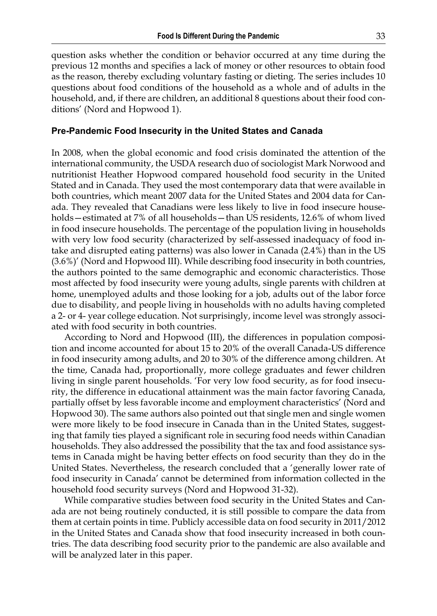question asks whether the condition or behavior occurred at any time during the previous 12 months and specifies a lack of money or other resources to obtain food as the reason, thereby excluding voluntary fasting or dieting. The series includes 10 questions about food conditions of the household as a whole and of adults in the household, and, if there are children, an additional 8 questions about their food conditions' (Nord and Hopwood 1).

#### **Pre-Pandemic Food Insecurity in the United States and Canada**

In 2008, when the global economic and food crisis dominated the attention of the international community, the USDA research duo of sociologist Mark Norwood and nutritionist Heather Hopwood compared household food security in the United Stated and in Canada. They used the most contemporary data that were available in both countries, which meant 2007 data for the United States and 2004 data for Canada. They revealed that Canadians were less likely to live in food insecure households—estimated at 7% of all households—than US residents, 12.6% of whom lived in food insecure households. The percentage of the population living in households with very low food security (characterized by self-assessed inadequacy of food intake and disrupted eating patterns) was also lower in Canada (2.4%) than in the US (3.6%)' (Nord and Hopwood III). While describing food insecurity in both countries, the authors pointed to the same demographic and economic characteristics. Those most affected by food insecurity were young adults, single parents with children at home, unemployed adults and those looking for a job, adults out of the labor force due to disability, and people living in households with no adults having completed a 2- or 4- year college education. Not surprisingly, income level was strongly associated with food security in both countries.

According to Nord and Hopwood (III), the differences in population composition and income accounted for about 15 to 20% of the overall Canada-US difference in food insecurity among adults, and 20 to 30% of the difference among children. At the time, Canada had, proportionally, more college graduates and fewer children living in single parent households. 'For very low food security, as for food insecurity, the difference in educational attainment was the main factor favoring Canada, partially offset by less favorable income and employment characteristics' (Nord and Hopwood 30). The same authors also pointed out that single men and single women were more likely to be food insecure in Canada than in the United States, suggesting that family ties played a significant role in securing food needs within Canadian households. They also addressed the possibility that the tax and food assistance systems in Canada might be having better effects on food security than they do in the United States. Nevertheless, the research concluded that a 'generally lower rate of food insecurity in Canada' cannot be determined from information collected in the household food security surveys (Nord and Hopwood 31-32).

While comparative studies between food security in the United States and Canada are not being routinely conducted, it is still possible to compare the data from them at certain points in time. Publicly accessible data on food security in 2011/2012 in the United States and Canada show that food insecurity increased in both countries. The data describing food security prior to the pandemic are also available and will be analyzed later in this paper.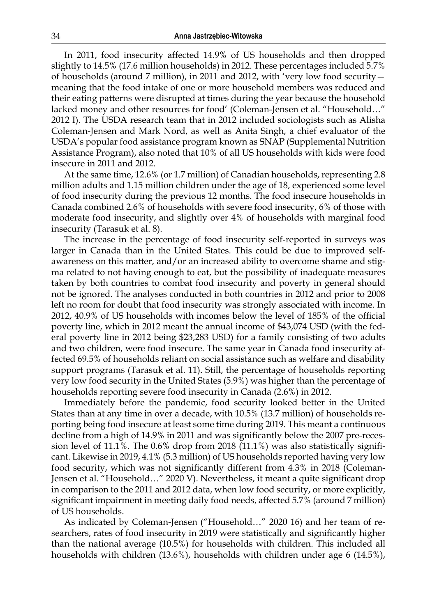In 2011, food insecurity affected 14.9% of US households and then dropped slightly to 14.5% (17.6 million households) in 2012. These percentages included 5.7% of households (around 7 million), in 2011 and 2012, with 'very low food security meaning that the food intake of one or more household members was reduced and their eating patterns were disrupted at times during the year because the household lacked money and other resources for food' (Coleman-Jensen et al. "Household…" 2012 I). The USDA research team that in 2012 included sociologists such as Alisha Coleman-Jensen and Mark Nord, as well as Anita Singh, a chief evaluator of the USDA's popular food assistance program known as SNAP (Supplemental Nutrition Assistance Program), also noted that 10% of all US households with kids were food insecure in 2011 and 2012.

At the same time, 12.6% (or 1.7 million) of Canadian households, representing 2.8 million adults and 1.15 million children under the age of 18, experienced some level of food insecurity during the previous 12 months. The food insecure households in Canada combined 2.6% of households with severe food insecurity, 6% of those with moderate food insecurity, and slightly over 4% of households with marginal food insecurity (Tarasuk et al. 8).

The increase in the percentage of food insecurity self-reported in surveys was larger in Canada than in the United States. This could be due to improved selfawareness on this matter, and/or an increased ability to overcome shame and stigma related to not having enough to eat, but the possibility of inadequate measures taken by both countries to combat food insecurity and poverty in general should not be ignored. The analyses conducted in both countries in 2012 and prior to 2008 left no room for doubt that food insecurity was strongly associated with income. In 2012, 40.9% of US households with incomes below the level of 185% of the official poverty line, which in 2012 meant the annual income of \$43,074 USD (with the federal poverty line in 2012 being \$23,283 USD) for a family consisting of two adults and two children, were food insecure. The same year in Canada food insecurity affected 69.5% of households reliant on social assistance such as welfare and disability support programs (Tarasuk et al. 11). Still, the percentage of households reporting very low food security in the United States (5.9%) was higher than the percentage of households reporting severe food insecurity in Canada (2.6%) in 2012.

Immediately before the pandemic, food security looked better in the United States than at any time in over a decade, with 10.5% (13.7 million) of households reporting being food insecure at least some time during 2019. This meant a continuous decline from a high of 14.9% in 2011 and was significantly below the 2007 pre-recession level of 11.1%. The 0.6% drop from 2018 (11.1%) was also statistically significant. Likewise in 2019, 4.1% (5.3 million) of US households reported having very low food security, which was not significantly different from 4.3% in 2018 (Coleman-Jensen et al. "Household…" 2020 V). Nevertheless, it meant a quite significant drop in comparison to the 2011 and 2012 data, when low food security, or more explicitly, significant impairment in meeting daily food needs, affected 5.7% (around 7 million) of US households.

As indicated by Coleman-Jensen ("Household…" 2020 16) and her team of researchers, rates of food insecurity in 2019 were statistically and significantly higher than the national average (10.5%) for households with children. This included all households with children (13.6%), households with children under age 6 (14.5%),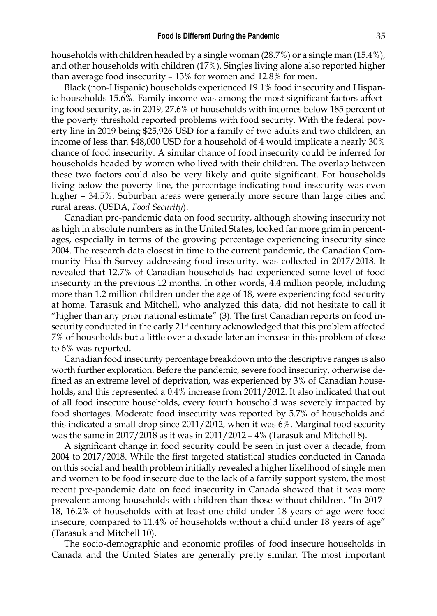households with children headed by a single woman (28.7%) or a single man (15.4%), and other households with children (17%). Singles living alone also reported higher than average food insecurity – 13% for women and 12.8% for men.

Black (non-Hispanic) households experienced 19.1% food insecurity and Hispanic households 15.6%. Family income was among the most significant factors affecting food security, as in 2019, 27.6% of households with incomes below 185 percent of the poverty threshold reported problems with food security. With the federal poverty line in 2019 being \$25,926 USD for a family of two adults and two children, an income of less than \$48,000 USD for a household of 4 would implicate a nearly 30% chance of food insecurity. A similar chance of food insecurity could be inferred for households headed by women who lived with their children. The overlap between these two factors could also be very likely and quite significant. For households living below the poverty line, the percentage indicating food insecurity was even higher – 34.5%. Suburban areas were generally more secure than large cities and rural areas. (USDA, *Food Security*).

Canadian pre-pandemic data on food security, although showing insecurity not as high in absolute numbers as in the United States, looked far more grim in percentages, especially in terms of the growing percentage experiencing insecurity since 2004. The research data closest in time to the current pandemic, the Canadian Community Health Survey addressing food insecurity, was collected in 2017/2018. It revealed that 12.7% of Canadian households had experienced some level of food insecurity in the previous 12 months. In other words, 4.4 million people, including more than 1.2 million children under the age of 18, were experiencing food security at home. Tarasuk and Mitchell, who analyzed this data, did not hesitate to call it "higher than any prior national estimate" (3). The first Canadian reports on food insecurity conducted in the early 21<sup>st</sup> century acknowledged that this problem affected 7% of households but a little over a decade later an increase in this problem of close to 6% was reported.

Canadian food insecurity percentage breakdown into the descriptive ranges is also worth further exploration. Before the pandemic, severe food insecurity, otherwise defined as an extreme level of deprivation, was experienced by 3% of Canadian households, and this represented a 0.4% increase from 2011/2012. It also indicated that out of all food insecure households, every fourth household was severely impacted by food shortages. Moderate food insecurity was reported by 5.7% of households and this indicated a small drop since 2011/2012, when it was 6%. Marginal food security was the same in  $2017/2018$  as it was in  $2011/2012 - 4%$  (Tarasuk and Mitchell 8).

A significant change in food security could be seen in just over a decade, from 2004 to 2017/2018. While the first targeted statistical studies conducted in Canada on this social and health problem initially revealed a higher likelihood of single men and women to be food insecure due to the lack of a family support system, the most recent pre-pandemic data on food insecurity in Canada showed that it was more prevalent among households with children than those without children. "In 2017- 18, 16.2% of households with at least one child under 18 years of age were food insecure, compared to 11.4% of households without a child under 18 years of age" (Tarasuk and Mitchell 10).

The socio-demographic and economic profiles of food insecure households in Canada and the United States are generally pretty similar. The most important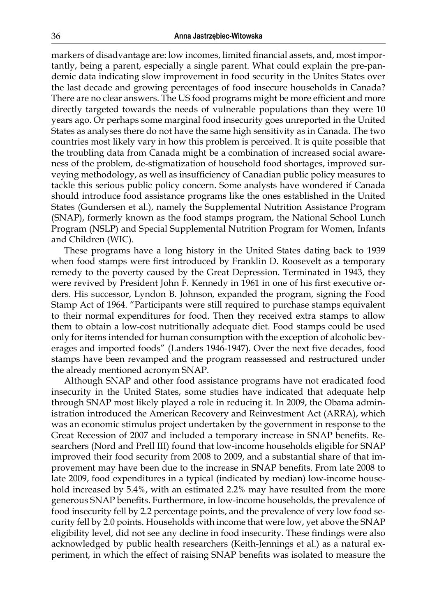markers of disadvantage are: low incomes, limited financial assets, and, most importantly, being a parent, especially a single parent. What could explain the pre-pandemic data indicating slow improvement in food security in the Unites States over the last decade and growing percentages of food insecure households in Canada? There are no clear answers. The US food programs might be more efficient and more directly targeted towards the needs of vulnerable populations than they were 10 years ago. Or perhaps some marginal food insecurity goes unreported in the United States as analyses there do not have the same high sensitivity as in Canada. The two countries most likely vary in how this problem is perceived. It is quite possible that the troubling data from Canada might be a combination of increased social awareness of the problem, de-stigmatization of household food shortages, improved surveying methodology, as well as insufficiency of Canadian public policy measures to tackle this serious public policy concern. Some analysts have wondered if Canada should introduce food assistance programs like the ones established in the United States (Gundersen et al.), namely the Supplemental Nutrition Assistance Program (SNAP), formerly known as the food stamps program, the National School Lunch Program (NSLP) and Special Supplemental Nutrition Program for Women, Infants and Children (WIC).

These programs have a long history in the United States dating back to 1939 when food stamps were first introduced by Franklin D. Roosevelt as a temporary remedy to the poverty caused by the Great Depression. Terminated in 1943, they were revived by President John F. Kennedy in 1961 in one of his first executive orders. His successor, Lyndon B. Johnson, expanded the program, signing the Food Stamp Act of 1964. "Participants were still required to purchase stamps equivalent to their normal expenditures for food. Then they received extra stamps to allow them to obtain a low-cost nutritionally adequate diet. Food stamps could be used only for items intended for human consumption with the exception of alcoholic beverages and imported foods" (Landers 1946-1947). Over the next five decades, food stamps have been revamped and the program reassessed and restructured under the already mentioned acronym SNAP.

Although SNAP and other food assistance programs have not eradicated food insecurity in the United States, some studies have indicated that adequate help through SNAP most likely played a role in reducing it. In 2009, the Obama administration introduced the American Recovery and Reinvestment Act (ARRA), which was an economic stimulus project undertaken by the government in response to the Great Recession of 2007 and included a temporary increase in SNAP benefits. Researchers (Nord and Prell III) found that low-income households eligible for SNAP improved their food security from 2008 to 2009, and a substantial share of that improvement may have been due to the increase in SNAP benefits. From late 2008 to late 2009, food expenditures in a typical (indicated by median) low-income household increased by 5.4%, with an estimated 2.2% may have resulted from the more generous SNAP benefits. Furthermore, in low-income households, the prevalence of food insecurity fell by 2.2 percentage points, and the prevalence of very low food security fell by 2.0 points. Households with income that were low, yet above the SNAP eligibility level, did not see any decline in food insecurity. These findings were also acknowledged by public health researchers (Keith-Jennings et al.) as a natural experiment, in which the effect of raising SNAP benefits was isolated to measure the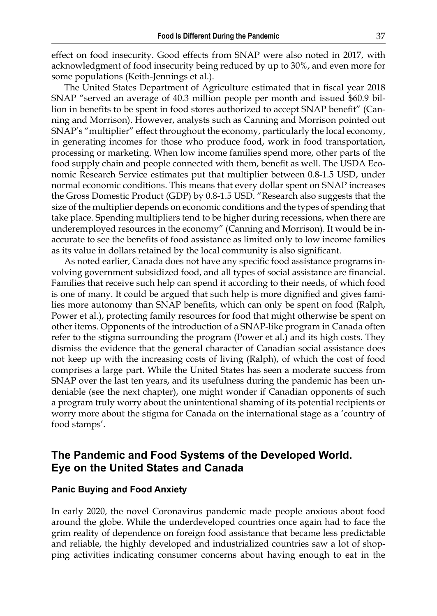effect on food insecurity. Good effects from SNAP were also noted in 2017, with acknowledgment of food insecurity being reduced by up to 30%, and even more for some populations (Keith-Jennings et al.).

The United States Department of Agriculture estimated that in fiscal year 2018 SNAP "served an average of 40.3 million people per month and issued \$60.9 billion in benefits to be spent in food stores authorized to accept SNAP benefit" (Canning and Morrison). However, analysts such as Canning and Morrison pointed out SNAP's "multiplier" effect throughout the economy, particularly the local economy, in generating incomes for those who produce food, work in food transportation, processing or marketing. When low income families spend more, other parts of the food supply chain and people connected with them, benefit as well. The USDA Economic Research Service estimates put that multiplier between 0.8-1.5 USD, under normal economic conditions. This means that every dollar spent on SNAP increases the Gross Domestic Product (GDP) by 0.8-1.5 USD. "Research also suggests that the size of the multiplier depends on economic conditions and the types of spending that take place. Spending multipliers tend to be higher during recessions, when there are underemployed resources in the economy" (Canning and Morrison). It would be inaccurate to see the benefits of food assistance as limited only to low income families as its value in dollars retained by the local community is also significant.

As noted earlier, Canada does not have any specific food assistance programs involving government subsidized food, and all types of social assistance are financial. Families that receive such help can spend it according to their needs, of which food is one of many. It could be argued that such help is more dignified and gives families more autonomy than SNAP benefits, which can only be spent on food (Ralph, Power et al.), protecting family resources for food that might otherwise be spent on other items. Opponents of the introduction of a SNAP-like program in Canada often refer to the stigma surrounding the program (Power et al.) and its high costs. They dismiss the evidence that the general character of Canadian social assistance does not keep up with the increasing costs of living (Ralph), of which the cost of food comprises a large part. While the United States has seen a moderate success from SNAP over the last ten years, and its usefulness during the pandemic has been undeniable (see the next chapter), one might wonder if Canadian opponents of such a program truly worry about the unintentional shaming of its potential recipients or worry more about the stigma for Canada on the international stage as a 'country of food stamps'.

## **The Pandemic and Food Systems of the Developed World. Eye on the United States and Canada**

#### **Panic Buying and Food Anxiety**

In early 2020, the novel Coronavirus pandemic made people anxious about food around the globe. While the underdeveloped countries once again had to face the grim reality of dependence on foreign food assistance that became less predictable and reliable, the highly developed and industrialized countries saw a lot of shopping activities indicating consumer concerns about having enough to eat in the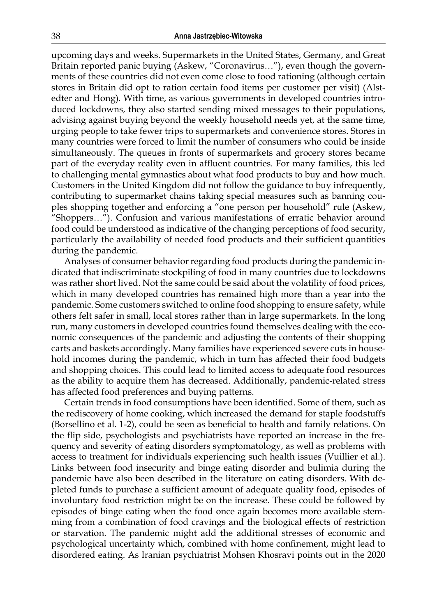upcoming days and weeks. Supermarkets in the United States, Germany, and Great Britain reported panic buying (Askew, "Coronavirus…"), even though the governments of these countries did not even come close to food rationing (although certain stores in Britain did opt to ration certain food items per customer per visit) (Alstedter and Hong). With time, as various governments in developed countries introduced lockdowns, they also started sending mixed messages to their populations, advising against buying beyond the weekly household needs yet, at the same time, urging people to take fewer trips to supermarkets and convenience stores. Stores in many countries were forced to limit the number of consumers who could be inside simultaneously. The queues in fronts of supermarkets and grocery stores became part of the everyday reality even in affluent countries. For many families, this led to challenging mental gymnastics about what food products to buy and how much. Customers in the United Kingdom did not follow the guidance to buy infrequently, contributing to supermarket chains taking special measures such as banning couples shopping together and enforcing a "one person per household" rule (Askew, "Shoppers…"). Confusion and various manifestations of erratic behavior around food could be understood as indicative of the changing perceptions of food security, particularly the availability of needed food products and their sufficient quantities during the pandemic.

Analyses of consumer behavior regarding food products during the pandemic indicated that indiscriminate stockpiling of food in many countries due to lockdowns was rather short lived. Not the same could be said about the volatility of food prices, which in many developed countries has remained high more than a year into the pandemic. Some customers switched to online food shopping to ensure safety, while others felt safer in small, local stores rather than in large supermarkets. In the long run, many customers in developed countries found themselves dealing with the economic consequences of the pandemic and adjusting the contents of their shopping carts and baskets accordingly. Many families have experienced severe cuts in household incomes during the pandemic, which in turn has affected their food budgets and shopping choices. This could lead to limited access to adequate food resources as the ability to acquire them has decreased. Additionally, pandemic-related stress has affected food preferences and buying patterns.

Certain trends in food consumptions have been identified. Some of them, such as the rediscovery of home cooking, which increased the demand for staple foodstuffs (Borsellino et al. 1-2), could be seen as beneficial to health and family relations. On the flip side, psychologists and psychiatrists have reported an increase in the frequency and severity of eating disorders symptomatology, as well as problems with access to treatment for individuals experiencing such health issues (Vuillier et al.). Links between food insecurity and binge eating disorder and bulimia during the pandemic have also been described in the literature on eating disorders. With depleted funds to purchase a sufficient amount of adequate quality food, episodes of involuntary food restriction might be on the increase. These could be followed by episodes of binge eating when the food once again becomes more available stemming from a combination of food cravings and the biological effects of restriction or starvation. The pandemic might add the additional stresses of economic and psychological uncertainty which, combined with home confinement, might lead to disordered eating. As Iranian psychiatrist Mohsen Khosravi points out in the 2020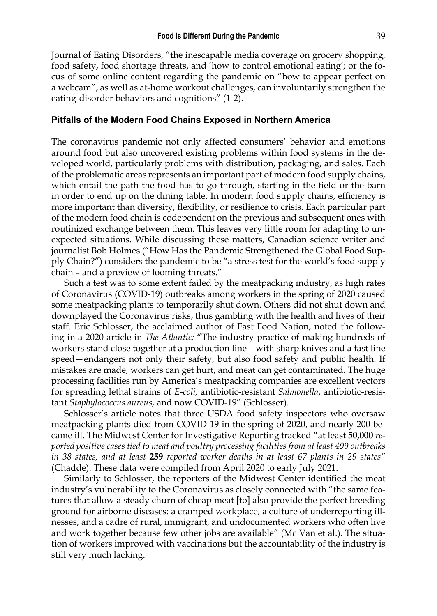Journal of Eating Disorders, "the inescapable media coverage on grocery shopping, food safety, food shortage threats, and 'how to control emotional eating'; or the focus of some online content regarding the pandemic on "how to appear perfect on a webcam", as well as at-home workout challenges, can involuntarily strengthen the eating-disorder behaviors and cognitions" (1-2).

#### **Pitfalls of the Modern Food Chains Exposed in Northern America**

The coronavirus pandemic not only affected consumers' behavior and emotions around food but also uncovered existing problems within food systems in the developed world, particularly problems with distribution, packaging, and sales. Each of the problematic areas represents an important part of modern food supply chains, which entail the path the food has to go through, starting in the field or the barn in order to end up on the dining table. In modern food supply chains, efficiency is more important than diversity, flexibility, or resilience to crisis. Each particular part of the modern food chain is codependent on the previous and subsequent ones with routinized exchange between them. This leaves very little room for adapting to unexpected situations. While discussing these matters, Canadian science writer and journalist Bob Holmes ("How Has the Pandemic Strengthened the Global Food Supply Chain?") considers the pandemic to be "a stress test for the world's food supply chain – and a preview of looming threats."

Such a test was to some extent failed by the meatpacking industry, as high rates of Coronavirus (COVID-19) outbreaks among workers in the spring of 2020 caused some meatpacking plants to temporarily shut down. Others did not shut down and downplayed the Coronavirus risks, thus gambling with the health and lives of their staff. Eric Schlosser, the acclaimed author of Fast Food Nation, noted the following in a 2020 article in *The Atlantic:* "The industry practice of making hundreds of workers stand close together at a production line—with sharp knives and a fast line speed—endangers not only their safety, but also food safety and public health. If mistakes are made, workers can get hurt, and meat can get contaminated. The huge processing facilities run by America's meatpacking companies are excellent vectors for spreading lethal strains of *E-coli,* antibiotic-resistant *Salmonella*, antibiotic-resistant *Staphylococcus aureus*, and now COVID-19" (Schlosser).

Schlosser's article notes that three USDA food safety inspectors who oversaw meatpacking plants died from COVID-19 in the spring of 2020, and nearly 200 became ill. The Midwest Center for Investigative Reporting tracked "at least **50,000** *reported positive cases tied to meat and poultry processing facilities from at least 499 outbreaks in 38 states, and at least* **259** *reported worker deaths in at least 67 plants in 29 states"*  (Chadde). These data were compiled from April 2020 to early July 2021.

Similarly to Schlosser, the reporters of the Midwest Center identified the meat industry's vulnerability to the Coronavirus as closely connected with "the same features that allow a steady churn of cheap meat [to] also provide the perfect breeding ground for airborne diseases: a cramped workplace, a culture of underreporting illnesses, and a cadre of rural, immigrant, and undocumented workers who often live and work together because few other jobs are available" (Mc Van et al.). The situation of workers improved with vaccinations but the accountability of the industry is still very much lacking.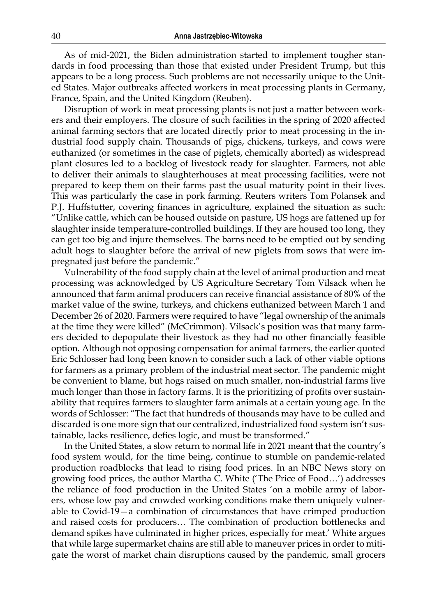As of mid-2021, the Biden administration started to implement tougher standards in food processing than those that existed under President Trump, but this appears to be a long process. Such problems are not necessarily unique to the United States. Major outbreaks affected workers in meat processing plants in Germany, France, Spain, and the United Kingdom (Reuben).

Disruption of work in meat processing plants is not just a matter between workers and their employers. The closure of such facilities in the spring of 2020 affected animal farming sectors that are located directly prior to meat processing in the industrial food supply chain. Thousands of pigs, chickens, turkeys, and cows were euthanized (or sometimes in the case of piglets, chemically aborted) as widespread plant closures led to a backlog of livestock ready for slaughter. Farmers, not able to deliver their animals to slaughterhouses at meat processing facilities, were not prepared to keep them on their farms past the usual maturity point in their lives. This was particularly the case in pork farming. Reuters writers Tom Polansek and P.J. Huffstutter, covering finances in agriculture, explained the situation as such: "Unlike cattle, which can be housed outside on pasture, US hogs are fattened up for slaughter inside temperature-controlled buildings. If they are housed too long, they can get too big and injure themselves. The barns need to be emptied out by sending adult hogs to slaughter before the arrival of new piglets from sows that were impregnated just before the pandemic."

Vulnerability of the food supply chain at the level of animal production and meat processing was acknowledged by US Agriculture Secretary Tom Vilsack when he announced that farm animal producers can receive financial assistance of 80% of the market value of the swine, turkeys, and chickens euthanized between March 1 and December 26 of 2020. Farmers were required to have "legal ownership of the animals at the time they were killed" (McCrimmon). Vilsack's position was that many farmers decided to depopulate their livestock as they had no other financially feasible option. Although not opposing compensation for animal farmers, the earlier quoted Eric Schlosser had long been known to consider such a lack of other viable options for farmers as a primary problem of the industrial meat sector. The pandemic might be convenient to blame, but hogs raised on much smaller, non-industrial farms live much longer than those in factory farms. It is the prioritizing of profits over sustainability that requires farmers to slaughter farm animals at a certain young age. In the words of Schlosser: "The fact that hundreds of thousands may have to be culled and discarded is one more sign that our centralized, industrialized food system isn't sustainable, lacks resilience, defies logic, and must be transformed."

In the United States, a slow return to normal life in 2021 meant that the country's food system would, for the time being, continue to stumble on pandemic-related production roadblocks that lead to rising food prices. In an NBC News story on growing food prices, the author Martha C. White ('The Price of Food…') addresses the reliance of food production in the United States 'on a mobile army of laborers, whose low pay and crowded working conditions make them uniquely vulnerable to Covid-19—a combination of circumstances that have crimped production and raised costs for producers… The combination of production bottlenecks and demand spikes have culminated in higher prices, especially for meat.' White argues that while large supermarket chains are still able to maneuver prices in order to mitigate the worst of market chain disruptions caused by the pandemic, small grocers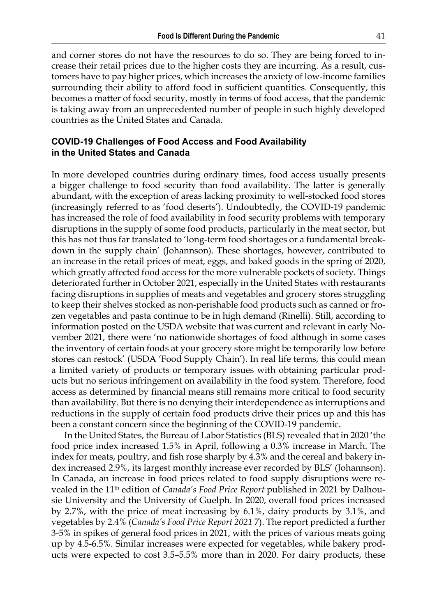and corner stores do not have the resources to do so. They are being forced to increase their retail prices due to the higher costs they are incurring. As a result, customers have to pay higher prices, which increases the anxiety of low-income families surrounding their ability to afford food in sufficient quantities. Consequently, this becomes a matter of food security, mostly in terms of food access, that the pandemic is taking away from an unprecedented number of people in such highly developed countries as the United States and Canada.

#### **COVID-19 Challenges of Food Access and Food Availability in the United States and Canada**

In more developed countries during ordinary times, food access usually presents a bigger challenge to food security than food availability. The latter is generally abundant, with the exception of areas lacking proximity to well-stocked food stores (increasingly referred to as 'food deserts'). Undoubtedly, the COVID-19 pandemic has increased the role of food availability in food security problems with temporary disruptions in the supply of some food products, particularly in the meat sector, but this has not thus far translated to 'long-term food shortages or a fundamental breakdown in the supply chain' (Johannson). These shortages, however, contributed to an increase in the retail prices of meat, eggs, and baked goods in the spring of 2020, which greatly affected food access for the more vulnerable pockets of society. Things deteriorated further in October 2021, especially in the United States with restaurants facing disruptions in supplies of meats and vegetables and grocery stores struggling to keep their shelves stocked as non-perishable food products such as canned or frozen vegetables and pasta continue to be in high demand (Rinelli). Still, according to information posted on the USDA website that was current and relevant in early November 2021, there were 'no nationwide shortages of food although in some cases the inventory of certain foods at your grocery store might be temporarily low before stores can restock' (USDA 'Food Supply Chain'). In real life terms, this could mean a limited variety of products or temporary issues with obtaining particular products but no serious infringement on availability in the food system. Therefore, food access as determined by financial means still remains more critical to food security than availability. But there is no denying their interdependence as interruptions and reductions in the supply of certain food products drive their prices up and this has been a constant concern since the beginning of the COVID-19 pandemic.

In the United States, the Bureau of Labor Statistics (BLS) revealed that in 2020 'the food price index increased 1.5% in April, following a 0.3% increase in March. The index for meats, poultry, and fish rose sharply by 4.3% and the cereal and bakery index increased 2.9%, its largest monthly increase ever recorded by BLS' (Johannson). In Canada, an increase in food prices related to food supply disruptions were revealed in the 11th edition of *Canada's Food Price Report* published in 2021 by Dalhousie University and the University of Guelph. In 2020, overall food prices increased by 2.7%, with the price of meat increasing by 6.1%, dairy products by 3.1%, and vegetables by 2.4% (*Canada's Food Price Report 2021* 7). The report predicted a further 3-5% in spikes of general food prices in 2021, with the prices of various meats going up by 4.5-6.5%. Similar increases were expected for vegetables, while bakery products were expected to cost 3.5–5.5% more than in 2020. For dairy products, these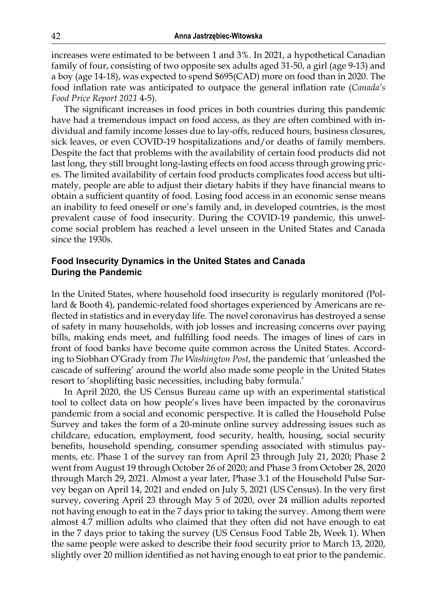increases were estimated to be between 1 and 3%. In 2021, a hypothetical Canadian family of four, consisting of two opposite sex adults aged 31-50, a girl (age 9-13) and a boy (age 14-18), was expected to spend \$695(CAD) more on food than in 2020. The food inflation rate was anticipated to outpace the general inflation rate (*Canada's Food Price Report 2021* 4-5).

The significant increases in food prices in both countries during this pandemic have had a tremendous impact on food access, as they are often combined with individual and family income losses due to lay-offs, reduced hours, business closures, sick leaves, or even COVID-19 hospitalizations and/or deaths of family members. Despite the fact that problems with the availability of certain food products did not last long, they still brought long-lasting effects on food access through growing prices. The limited availability of certain food products complicates food access but ultimately, people are able to adjust their dietary habits if they have financial means to obtain a sufficient quantity of food. Losing food access in an economic sense means an inability to feed oneself or one's family and, in developed countries, is the most prevalent cause of food insecurity. During the COVID-19 pandemic, this unwelcome social problem has reached a level unseen in the United States and Canada since the 1930s.

#### **Food Insecurity Dynamics in the United States and Canada During the Pandemic**

In the United States, where household food insecurity is regularly monitored (Pollard & Booth 4), pandemic-related food shortages experienced by Americans are reflected in statistics and in everyday life. The novel coronavirus has destroyed a sense of safety in many households, with job losses and increasing concerns over paying bills, making ends meet, and fulfilling food needs. The images of lines of cars in front of food banks have become quite common across the United States. According to Siobhan O'Grady from *The Washington Post*, the pandemic that 'unleashed the cascade of suffering' around the world also made some people in the United States resort to 'shoplifting basic necessities, including baby formula.'

In April 2020, the US Census Bureau came up with an experimental statistical tool to collect data on how people's lives have been impacted by the coronavirus pandemic from a social and economic perspective. It is called the Household Pulse Survey and takes the form of a 20-minute online survey addressing issues such as childcare, education, employment, food security, health, housing, social security benefits, household spending, consumer spending associated with stimulus payments, etc. Phase 1 of the survey ran from April 23 through July 21, 2020; Phase 2 went from August 19 through October 26 of 2020; and Phase 3 from October 28, 2020 through March 29, 2021. Almost a year later, Phase 3.1 of the Household Pulse Survey began on April 14, 2021 and ended on July 5, 2021 (US Census). In the very first survey, covering April 23 through May 5 of 2020, over 24 million adults reported not having enough to eat in the 7 days prior to taking the survey. Among them were almost 4.7 million adults who claimed that they often did not have enough to eat in the 7 days prior to taking the survey (US Census Food Table 2b, Week 1). When the same people were asked to describe their food security prior to March 13, 2020, slightly over 20 million identified as not having enough to eat prior to the pandemic.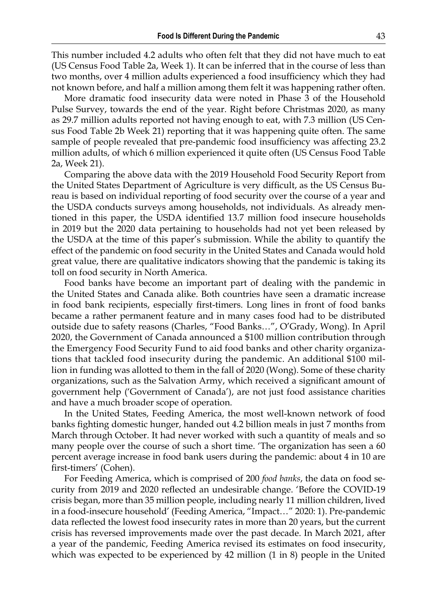This number included 4.2 adults who often felt that they did not have much to eat (US Census Food Table 2a, Week 1). It can be inferred that in the course of less than two months, over 4 million adults experienced a food insufficiency which they had not known before, and half a million among them felt it was happening rather often.

More dramatic food insecurity data were noted in Phase 3 of the Household Pulse Survey, towards the end of the year. Right before Christmas 2020, as many as 29.7 million adults reported not having enough to eat, with 7.3 million (US Census Food Table 2b Week 21) reporting that it was happening quite often. The same sample of people revealed that pre-pandemic food insufficiency was affecting 23.2 million adults, of which 6 million experienced it quite often (US Census Food Table 2a, Week 21).

Comparing the above data with the 2019 Household Food Security Report from the United States Department of Agriculture is very difficult, as the US Census Bureau is based on individual reporting of food security over the course of a year and the USDA conducts surveys among households, not individuals. As already mentioned in this paper, the USDA identified 13.7 million food insecure households in 2019 but the 2020 data pertaining to households had not yet been released by the USDA at the time of this paper's submission. While the ability to quantify the effect of the pandemic on food security in the United States and Canada would hold great value, there are qualitative indicators showing that the pandemic is taking its toll on food security in North America.

Food banks have become an important part of dealing with the pandemic in the United States and Canada alike. Both countries have seen a dramatic increase in food bank recipients, especially first-timers. Long lines in front of food banks became a rather permanent feature and in many cases food had to be distributed outside due to safety reasons (Charles, "Food Banks…", O'Grady, Wong). In April 2020, the Government of Canada announced a \$100 million contribution through the Emergency Food Security Fund to aid food banks and other charity organizations that tackled food insecurity during the pandemic. An additional \$100 million in funding was allotted to them in the fall of 2020 (Wong). Some of these charity organizations, such as the Salvation Army, which received a significant amount of government help ('Government of Canada'), are not just food assistance charities and have a much broader scope of operation.

In the United States, Feeding America, the most well-known network of food banks fighting domestic hunger, handed out 4.2 billion meals in just 7 months from March through October. It had never worked with such a quantity of meals and so many people over the course of such a short time. 'The organization has seen a 60 percent average increase in food bank users during the pandemic: about 4 in 10 are first-timers' (Cohen).

For Feeding America, which is comprised of 200 *food banks*, the data on food security from 2019 and 2020 reflected an undesirable change. 'Before the COVID-19 crisis began, more than 35 million people, including nearly 11 million children, lived in a food-insecure household' (Feeding America, "Impact…" 2020: 1). Pre-pandemic data reflected the lowest food insecurity rates in more than 20 years, but the current crisis has reversed improvements made over the past decade. In March 2021, after a year of the pandemic, Feeding America revised its estimates on food insecurity, which was expected to be experienced by 42 million (1 in 8) people in the United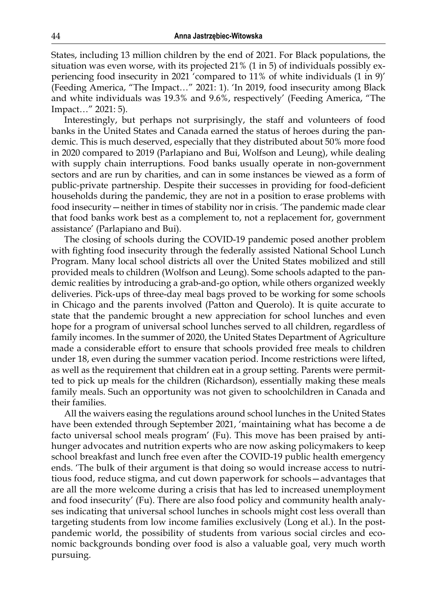States, including 13 million children by the end of 2021. For Black populations, the situation was even worse, with its projected 21% (1 in 5) of individuals possibly experiencing food insecurity in 2021 'compared to 11% of white individuals (1 in 9)' (Feeding America, "The Impact…" 2021: 1). 'In 2019, food insecurity among Black and white individuals was 19.3% and 9.6%, respectively' (Feeding America, "The Impact…" 2021: 5).

Interestingly, but perhaps not surprisingly, the staff and volunteers of food banks in the United States and Canada earned the status of heroes during the pandemic. This is much deserved, especially that they distributed about 50% more food in 2020 compared to 2019 (Parlapiano and Bui, Wolfson and Leung), while dealing with supply chain interruptions. Food banks usually operate in non-government sectors and are run by charities, and can in some instances be viewed as a form of public-private partnership. Despite their successes in providing for food-deficient households during the pandemic, they are not in a position to erase problems with food insecurity—neither in times of stability nor in crisis. 'The pandemic made clear that food banks work best as a complement to, not a replacement for, government assistance' (Parlapiano and Bui).

The closing of schools during the COVID-19 pandemic posed another problem with fighting food insecurity through the federally assisted National School Lunch Program. Many local school districts all over the United States mobilized and still provided meals to children (Wolfson and Leung). Some schools adapted to the pandemic realities by introducing a grab-and-go option, while others organized weekly deliveries. Pick-ups of three-day meal bags proved to be working for some schools in Chicago and the parents involved (Patton and Querolo). It is quite accurate to state that the pandemic brought a new appreciation for school lunches and even hope for a program of universal school lunches served to all children, regardless of family incomes. In the summer of 2020, the United States Department of Agriculture made a considerable effort to ensure that schools provided free meals to children under 18, even during the summer vacation period. Income restrictions were lifted, as well as the requirement that children eat in a group setting. Parents were permitted to pick up meals for the children (Richardson), essentially making these meals family meals. Such an opportunity was not given to schoolchildren in Canada and their families.

All the waivers easing the regulations around school lunches in the United States have been extended through September 2021, 'maintaining what has become a de facto universal school meals program' (Fu). This move has been praised by antihunger advocates and nutrition experts who are now asking policymakers to keep school breakfast and lunch free even after the COVID-19 public health emergency ends. 'The bulk of their argument is that doing so would increase access to nutritious food, reduce stigma, and cut down paperwork for schools—advantages that are all the more welcome during a crisis that has led to increased unemployment and food insecurity' (Fu). There are also food policy and community health analyses indicating that universal school lunches in schools might cost less overall than targeting students from low income families exclusively (Long et al.). In the postpandemic world, the possibility of students from various social circles and economic backgrounds bonding over food is also a valuable goal, very much worth pursuing.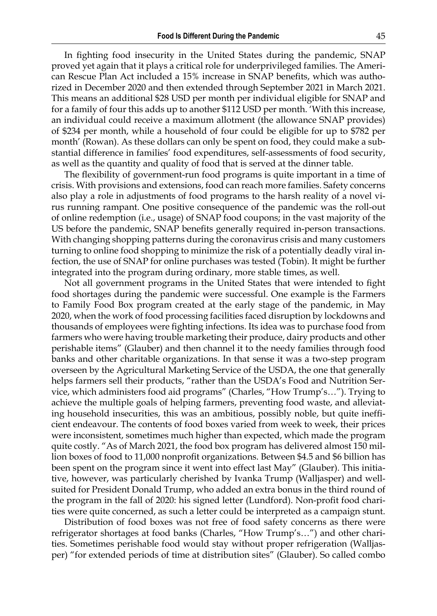In fighting food insecurity in the United States during the pandemic, SNAP proved yet again that it plays a critical role for underprivileged families. The American Rescue Plan Act included a 15% increase in SNAP benefits, which was authorized in December 2020 and then extended through September 2021 in March 2021. This means an additional \$28 USD per month per individual eligible for SNAP and for a family of four this adds up to another \$112 USD per month. 'With this increase, an individual could receive a maximum allotment (the allowance SNAP provides) of \$234 per month, while a household of four could be eligible for up to \$782 per month' (Rowan). As these dollars can only be spent on food, they could make a substantial difference in families' food expenditures, self-assessments of food security, as well as the quantity and quality of food that is served at the dinner table.

The flexibility of government-run food programs is quite important in a time of crisis. With provisions and extensions, food can reach more families. Safety concerns also play a role in adjustments of food programs to the harsh reality of a novel virus running rampant. One positive consequence of the pandemic was the roll-out of online redemption (i.e., usage) of SNAP food coupons; in the vast majority of the US before the pandemic, SNAP benefits generally required in-person transactions. With changing shopping patterns during the coronavirus crisis and many customers turning to online food shopping to minimize the risk of a potentially deadly viral infection, the use of SNAP for online purchases was tested (Tobin). It might be further integrated into the program during ordinary, more stable times, as well.

Not all government programs in the United States that were intended to fight food shortages during the pandemic were successful. One example is the Farmers to Family Food Box program created at the early stage of the pandemic, in May 2020, when the work of food processing facilities faced disruption by lockdowns and thousands of employees were fighting infections. Its idea was to purchase food from farmers who were having trouble marketing their produce, dairy products and other perishable items" (Glauber) and then channel it to the needy families through food banks and other charitable organizations. In that sense it was a two-step program overseen by the Agricultural Marketing Service of the USDA, the one that generally helps farmers sell their products, "rather than the USDA's Food and Nutrition Service, which administers food aid programs" (Charles, "How Trump's…"). Trying to achieve the multiple goals of helping farmers, preventing food waste, and alleviating household insecurities, this was an ambitious, possibly noble, but quite inefficient endeavour. The contents of food boxes varied from week to week, their prices were inconsistent, sometimes much higher than expected, which made the program quite costly. "As of March 2021, the food box program has delivered almost 150 million boxes of food to 11,000 nonprofit organizations. Between \$4.5 and \$6 billion has been spent on the program since it went into effect last May" (Glauber). This initiative, however, was particularly cherished by Ivanka Trump (Walljasper) and wellsuited for President Donald Trump, who added an extra bonus in the third round of the program in the fall of 2020: his signed letter (Lundford). Non-profit food charities were quite concerned, as such a letter could be interpreted as a campaign stunt.

Distribution of food boxes was not free of food safety concerns as there were refrigerator shortages at food banks (Charles, "How Trump's…") and other charities. Sometimes perishable food would stay without proper refrigeration (Walljasper) "for extended periods of time at distribution sites" (Glauber). So called combo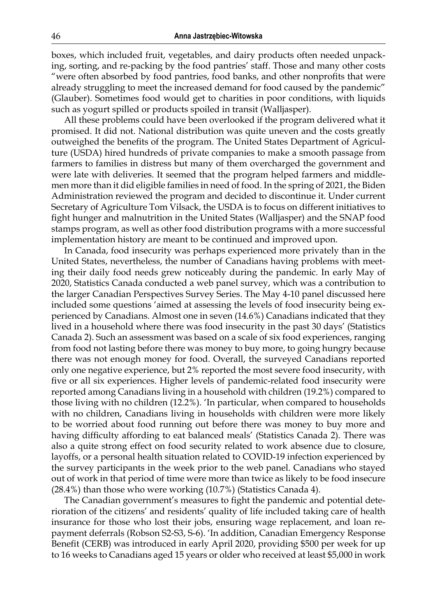boxes, which included fruit, vegetables, and dairy products often needed unpacking, sorting, and re-packing by the food pantries' staff. Those and many other costs "were often absorbed by food pantries, food banks, and other nonprofits that were already struggling to meet the increased demand for food caused by the pandemic" (Glauber). Sometimes food would get to charities in poor conditions, with liquids such as yogurt spilled or products spoiled in transit (Walljasper).

All these problems could have been overlooked if the program delivered what it promised. It did not. National distribution was quite uneven and the costs greatly outweighed the benefits of the program. The United States Department of Agriculture (USDA) hired hundreds of private companies to make a smooth passage from farmers to families in distress but many of them overcharged the government and were late with deliveries. It seemed that the program helped farmers and middlemen more than it did eligible families in need of food. In the spring of 2021, the Biden Administration reviewed the program and decided to discontinue it. Under current Secretary of Agriculture Tom Vilsack, the USDA is to focus on different initiatives to fight hunger and malnutrition in the United States (Walljasper) and the SNAP food stamps program, as well as other food distribution programs with a more successful implementation history are meant to be continued and improved upon.

In Canada, food insecurity was perhaps experienced more privately than in the United States, nevertheless, the number of Canadians having problems with meeting their daily food needs grew noticeably during the pandemic. In early May of 2020, Statistics Canada conducted a web panel survey, which was a contribution to the larger Canadian Perspectives Survey Series. The May 4-10 panel discussed here included some questions 'aimed at assessing the levels of food insecurity being experienced by Canadians. Almost one in seven (14.6%) Canadians indicated that they lived in a household where there was food insecurity in the past 30 days' (Statistics Canada 2). Such an assessment was based on a scale of six food experiences, ranging from food not lasting before there was money to buy more, to going hungry because there was not enough money for food. Overall, the surveyed Canadians reported only one negative experience, but 2% reported the most severe food insecurity, with five or all six experiences. Higher levels of pandemic-related food insecurity were reported among Canadians living in a household with children (19.2%) compared to those living with no children (12.2%). 'In particular, when compared to households with no children, Canadians living in households with children were more likely to be worried about food running out before there was money to buy more and having difficulty affording to eat balanced meals' (Statistics Canada 2). There was also a quite strong effect on food security related to work absence due to closure, layoffs, or a personal health situation related to COVID-19 infection experienced by the survey participants in the week prior to the web panel. Canadians who stayed out of work in that period of time were more than twice as likely to be food insecure (28.4%) than those who were working (10.7%) (Statistics Canada 4).

The Canadian government's measures to fight the pandemic and potential deterioration of the citizens' and residents' quality of life included taking care of health insurance for those who lost their jobs, ensuring wage replacement, and loan repayment deferrals (Robson S2-S3, S-6). 'In addition, Canadian Emergency Response Benefit (CERB) was introduced in early April 2020, providing \$500 per week for up to 16 weeks to Canadians aged 15 years or older who received at least \$5,000 in work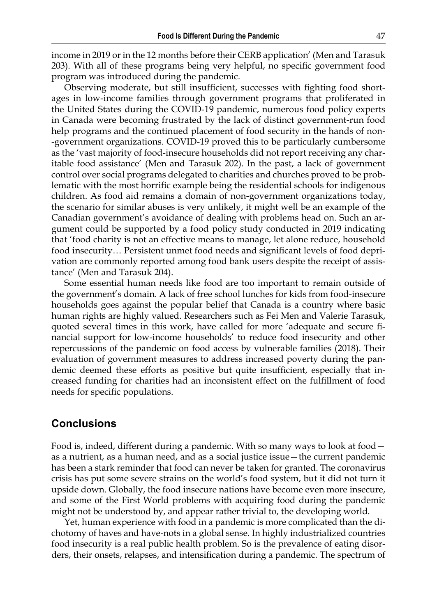income in 2019 or in the 12 months before their CERB application' (Men and Tarasuk 203). With all of these programs being very helpful, no specific government food program was introduced during the pandemic.

Observing moderate, but still insufficient, successes with fighting food shortages in low-income families through government programs that proliferated in the United States during the COVID-19 pandemic, numerous food policy experts in Canada were becoming frustrated by the lack of distinct government-run food help programs and the continued placement of food security in the hands of nongovernment organizations. COVID-19 proved this to be particularly cumbersome as the 'vast majority of food-insecure households did not report receiving any charitable food assistance' (Men and Tarasuk 202). In the past, a lack of government control over social programs delegated to charities and churches proved to be problematic with the most horrific example being the residential schools for indigenous children. As food aid remains a domain of non-government organizations today, the scenario for similar abuses is very unlikely, it might well be an example of the Canadian government's avoidance of dealing with problems head on. Such an argument could be supported by a food policy study conducted in 2019 indicating that 'food charity is not an effective means to manage, let alone reduce, household food insecurity… Persistent unmet food needs and significant levels of food deprivation are commonly reported among food bank users despite the receipt of assistance' (Men and Tarasuk 204).

Some essential human needs like food are too important to remain outside of the government's domain. A lack of free school lunches for kids from food‑insecure households goes against the popular belief that Canada is a country where basic human rights are highly valued. Researchers such as Fei Men and Valerie Tarasuk, quoted several times in this work, have called for more 'adequate and secure financial support for low-income households' to reduce food insecurity and other repercussions of the pandemic on food access by vulnerable families (2018). Their evaluation of government measures to address increased poverty during the pandemic deemed these efforts as positive but quite insufficient, especially that increased funding for charities had an inconsistent effect on the fulfillment of food needs for specific populations.

## **Conclusions**

Food is, indeed, different during a pandemic. With so many ways to look at food as a nutrient, as a human need, and as a social justice issue—the current pandemic has been a stark reminder that food can never be taken for granted. The coronavirus crisis has put some severe strains on the world's food system, but it did not turn it upside down. Globally, the food insecure nations have become even more insecure, and some of the First World problems with acquiring food during the pandemic might not be understood by, and appear rather trivial to, the developing world.

Yet, human experience with food in a pandemic is more complicated than the dichotomy of haves and have-nots in a global sense. In highly industrialized countries food insecurity is a real public health problem. So is the prevalence of eating disorders, their onsets, relapses, and intensification during a pandemic. The spectrum of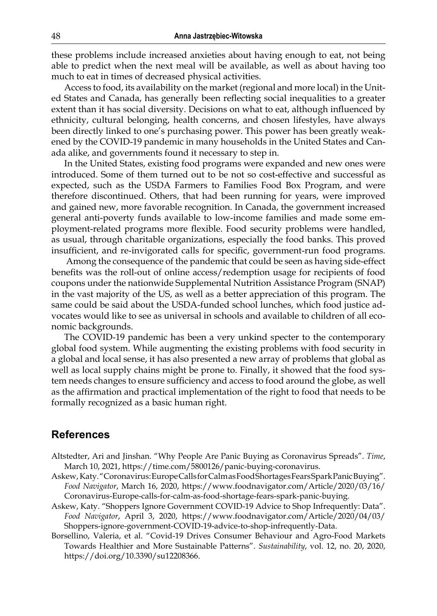these problems include increased anxieties about having enough to eat, not being able to predict when the next meal will be available, as well as about having too much to eat in times of decreased physical activities.

Access to food, its availability on the market (regional and more local) in the United States and Canada, has generally been reflecting social inequalities to a greater extent than it has social diversity. Decisions on what to eat, although influenced by ethnicity, cultural belonging, health concerns, and chosen lifestyles, have always been directly linked to one's purchasing power. This power has been greatly weakened by the COVID-19 pandemic in many households in the United States and Canada alike, and governments found it necessary to step in.

In the United States, existing food programs were expanded and new ones were introduced. Some of them turned out to be not so cost-effective and successful as expected, such as the USDA Farmers to Families Food Box Program, and were therefore discontinued. Others, that had been running for years, were improved and gained new, more favorable recognition. In Canada, the government increased general anti-poverty funds available to low-income families and made some employment-related programs more flexible. Food security problems were handled, as usual, through charitable organizations, especially the food banks. This proved insufficient, and re-invigorated calls for specific, government-run food programs.

 Among the consequence of the pandemic that could be seen as having side-effect benefits was the roll-out of online access/redemption usage for recipients of food coupons under the nationwide Supplemental Nutrition Assistance Program (SNAP) in the vast majority of the US, as well as a better appreciation of this program. The same could be said about the USDA-funded school lunches, which food justice advocates would like to see as universal in schools and available to children of all economic backgrounds.

The COVID-19 pandemic has been a very unkind specter to the contemporary global food system. While augmenting the existing problems with food security in a global and local sense, it has also presented a new array of problems that global as well as local supply chains might be prone to. Finally, it showed that the food system needs changes to ensure sufficiency and access to food around the globe, as well as the affirmation and practical implementation of the right to food that needs to be formally recognized as a basic human right.

## **References**

- Altstedter, Ari and Jinshan. "Why People Are Panic Buying as Coronavirus Spreads". *Time*, March 10, 2021, https://time.com/5800126/panic-buying-coronavirus.
- Askew, Katy. "Coronavirus: Europe Calls for Calm as Food Shortages Fears Spark Panic Buying". *Food Navigator*, March 16, 2020, https://www.foodnavigator.com/Article/2020/03/16/ Coronavirus-Europe-calls-for-calm-as-food-shortage-fears-spark-panic-buying.
- Askew, Katy. "Shoppers Ignore Government COVID-19 Advice to Shop Infrequently: Data". *Food Navigator*, April 3, 2020, https://www.foodnavigator.com/Article/2020/04/03/ Shoppers-ignore-government-COVID-19-advice-to-shop-infrequently-Data.
- Borsellino, Valeria, et al. "Covid-19 Drives Consumer Behaviour and Agro-Food Markets Towards Healthier and More Sustainable Patterns". *Sustainability*, vol. 12, no. 20, 2020, [https://doi.org/10.3390/su12208366.](https://doi.org/10.3390/su12208366)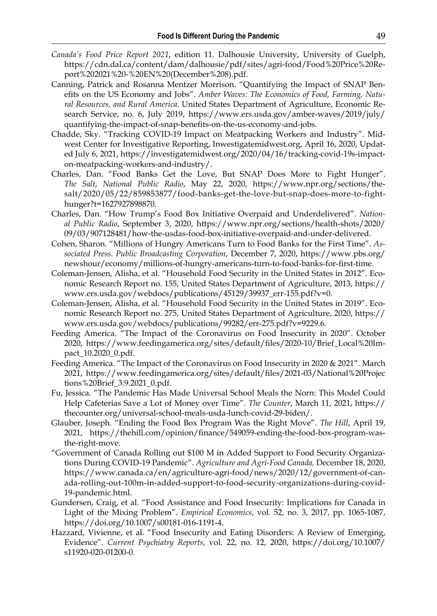- *Canada's Food Price Report 2021*, edition 11. Dalhousie University, University of Guelph, https://cdn.dal.ca/content/dam/dalhousie/pdf/sites/agri-food/Food%20Price%20Report%202021%20-%20EN%20(December%208).pdf.
- Canning, Patrick and Rosanna Mentzer Morrison. "Quantifying the Impact of SNAP Benefits on the US Economy and Jobs". *Amber Waves: The Economics of Food, Farming, Natural Resources, and Rural America*. United States Department of Agriculture, Economic Research Service, no. 6, July 2019, https://www.ers.usda.gov/amber-waves/2019/july/ quantifying-the-impact-of-snap-benefits-on-the-us-economy-and-jobs.
- Chadde, Sky. "Tracking COVID-19 Impact on Meatpacking Workers and Industry". Midwest Center for Investigative Reporting, Inwestigatemidwest.org, April 16, 2020, Updated July 6, 2021, https://investigatemidwest.org/2020/04/16/tracking-covid-19s-impacton-meatpacking-workers-and-industry/.
- Charles, Dan. "Food Banks Get the Love, But SNAP Does More to Fight Hunger". *The Salt*, *National Public Radio*, May 22, 2020, https://www.npr.org/sections/thesalt/2020/05/22/859853877/food-banks-get-the-love-but-snap-does-more-to-fighthunger?t=1627927898870.
- Charles, Dan. "How Trump's Food Box Initiative Overpaid and Underdelivered". *National Public Radio*, September 3, 2020, https://www.npr.org/sections/health-shots/2020/ 09/03/907128481/how-the-usdas-food-box-initiative-overpaid-and-under-delivered.
- Cohen, Sharon. "Millions of Hungry Americans Turn to Food Banks for the First Time". *Associated Press. Public Broadcasting Corporation*, December 7, 2020, https://www.pbs.org/ newshour/economy/millions-of-hungry-americans-turn-to-food-banks-for-first-time.
- Coleman-Jensen, Alisha, et al. "Household Food Security in the United States in 2012". Economic Research Report no. 155, United States Department of Agriculture, 2013, https:// www.ers.usda.gov/webdocs/publications/45129/39937\_err-155.pdf?v=0.
- Coleman-Jensen, Alisha, et al. "Household Food Security in the United States in 2019". Economic Research Report no. 275, United States Department of Agriculture, 2020, https:// www.ers.usda.gov/webdocs/publications/99282/err-275.pdf?v=9229.6.
- Feeding America. "The Impact of the Coronavirus on Food Insecurity in 2020". October 2020, https://www.feedingamerica.org/sites/default/files/2020-10/Brief\_Local%20Impact\_10.2020\_0.pdf.
- Feeding America. "The Impact of the Coronavirus on Food Insecurity in 2020 & 2021". March 2021, https://www.feedingamerica.org/sites/default/files/2021-03/National%20Projec tions%20Brief\_3.9.2021\_0.pdf.
- Fu, Jessica. "The Pandemic Has Made Universal School Meals the Norn: This Model Could Help Cafeterias Save a Lot of Money over Time". *The Counter*, March 11, 2021, https:// thecounter.org/universal-school-meals-usda-lunch-covid-29-biden/.
- Glauber, Joseph. "Ending the Food Box Program Was the Right Move". *The Hill*, April 19, 2021, https://thehill.com/opinion/finance/549059-ending-the-food-box-program-wasthe-right-move.
- "Government of Canada Rolling out \$100 M in Added Support to Food Security Organizations During COVID-19 Pandemic". *Agriculture and Agri-Food Canada,* December 18, 2020, https://www.canada.ca/en/agriculture-agri-food/news/2020/12/government-of-canada-rolling-out-100m-in-added-support-to-food-security-organizations-during-covid-19-pandemic.html.
- Gundersen, Craig, et al. "Food Assistance and Food Insecurity: Implications for Canada in Light of the Mixing Problem". *Empirical Economics*, vol. 52, no. 3, 2017, pp. 1065-1087, https://doi.org/10.1007/s00181-016-1191-4.
- Hazzard, Vivienne, et al. "Food Insecurity and Eating Disorders: A Review of Emerging, Evidence". *Current Psychiatry Reports*, vol. 22, no. 12, 2020, [https://doi.org/10.1007/](https://doi.org/10.1007/s11920-020-01200-0) [s11920-020-01200-0.](https://doi.org/10.1007/s11920-020-01200-0)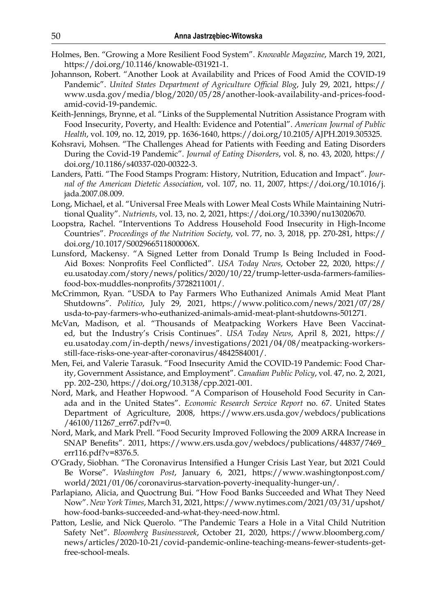- Holmes, Ben. "Growing a More Resilient Food System". *Knowable Magazine*, March 19, 2021, [https://doi.org/10.1146/knowable-031921-1.](https://doi.org/10.1146/knowable-031921-1)
- Johannson, Robert. "Another Look at Availability and Prices of Food Amid the COVID-19 Pandemic". *United States Department of Agriculture Official Blog*, July 29, 2021, https:// www.usda.gov/media/blog/2020/05/28/another-look-availability-and-prices-foodamid-covid-19-pandemic.
- Keith-Jennings, Brynne, et al. "Links of the Supplemental Nutrition Assistance Program with Food Insecurity, Poverty, and Health: Evidence and Potential". *American Journal of Public Health*, vol. 109, no. 12, 2019, pp. 1636-1640, https://doi.org/10.2105/AJPH.2019.305325.
- Kohsravi, Mohsen. "The Challenges Ahead for Patients with Feeding and Eating Disorders During the Covid-19 Pandemic". *Journal of Eating Disorders*, vol. 8, no. 43, 2020, https:// doi.org/10.1186/s40337-020-00322-3.
- Landers, Patti. "The Food Stamps Program: History, Nutrition, Education and Impact". *Journal of the American Dietetic Association*, vol. 107, no. 11, 2007, https://doi.org/10.1016/j. jada.2007.08.009.
- Long, Michael, et al. "Universal Free Meals with Lower Meal Costs While Maintaining Nutritional Quality". *Nutrients*, vol. 13, no. 2, 2021, https://doi.org/10.3390/nu13020670.
- Loopstra, Rachel. "Interventions To Address Household Food Insecurity in High-Income Countries". *Proceedings of the Nutrition Society*, vol. 77, no. 3, 2018, pp. 270-281, https:// doi.org/10.1017/S002966511800006X.
- Lunsford, Mackensy. "A Signed Letter from Donald Trump Is Being Included in Food-Aid Boxes: Nonprofits Feel Conflicted". *USA Today News*, October 22, 2020, https:// eu.usatoday.com/story/news/politics/2020/10/22/trump-letter-usda-farmers-familiesfood-box-muddles-nonprofits/3728211001/.
- McCrimmon, Ryan. "USDA to Pay Farmers Who Euthanized Animals Amid Meat Plant Shutdowns". *Politico*, July 29, 2021, https://www.politico.com/news/2021/07/28/ usda-to-pay-farmers-who-euthanized-animals-amid-meat-plant-shutdowns-501271.
- McVan, Madison, et al. "Thousands of Meatpacking Workers Have Been Vaccinated, but the Industry's Crisis Continues". *USA Today News*, April 8, 2021, https:// eu.usatoday.com/in-depth/news/investigations/2021/04/08/meatpacking-workersstill-face-risks-one-year-after-coronavirus/4842584001/.
- Men, Fei, and Valerie Tarasuk. "Food Insecurity Amid the COVID-19 Pandemic: Food Charity, Government Assistance, and Employment". *Canadian Public Policy*, vol. 47, no. 2, 2021, pp. 202–230, https://doi.org/10.3138/cpp.2021-001.
- Nord, Mark, and Heather Hopwood. "A Comparison of Household Food Security in Canada and in the United States". *Economic Research Service Report* no. 67. United States Department of Agriculture, 2008, https://www.ers.usda.gov/webdocs/publications /46100/11267\_err67.pdf?v=0.
- Nord, Mark, and Mark Prell. "Food Security Improved Following the 2009 ARRA Increase in SNAP Benefits". 2011, https://www.ers.usda.gov/webdocs/publications/44837/7469\_ err116.pdf?v=8376.5.
- O'Grady, Siobhan. "The Coronavirus Intensified a Hunger Crisis Last Year, but 2021 Could Be Worse". *Washington Post*, January 6, 2021, https://www.washingtonpost.com/ world/2021/01/06/coronavirus-starvation-poverty-inequality-hunger-un/.
- Parlapiano, Alicia, and Quoctrung Bui. "How Food Banks Succeeded and What They Need Now". *New York Times*, March 31, 2021, https://www.nytimes.com/2021/03/31/upshot/ how-food-banks-succeeded-and-what-they-need-now.html.
- Patton, Leslie, and Nick Querolo. "The Pandemic Tears a Hole in a Vital Child Nutrition Safety Net". *Bloomberg Businessweek*, October 21, 2020, https://www.bloomberg.com/ news/articles/2020-10-21/covid-pandemic-online-teaching-means-fewer-students-getfree-school-meals.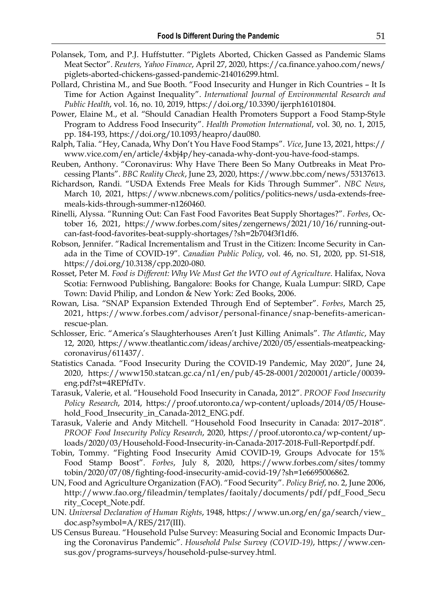- Polansek, Tom, and P.J. Huffstutter. "Piglets Aborted, Chicken Gassed as Pandemic Slams Meat Sector". *Reuters, Yahoo Finance*, April 27, 2020, https://ca.finance.yahoo.com/news/ piglets-aborted-chickens-gassed-pandemic-214016299.html.
- Pollard, Christina M., and Sue Booth. "Food Insecurity and Hunger in Rich Countries It Is Time for Action Against Inequality". *International Journal of Environmental Research and Public Health*, vol. 16, no. 10, 2019, https://doi.org/10.3390/ijerph16101804.
- Power, Elaine M., et al. "Should Canadian Health Promoters Support a Food Stamp-Style Program to Address Food Insecurity". *Health Promotion International*, vol. 30, no. 1, 2015, pp. 184-193, https://doi.org/10.1093/heapro/dau080.
- Ralph, Talia. "Hey, Canada, Why Don't You Have Food Stamps". *Vice*, June 13, 2021, [https://](https://www.vice.com/en/article/4xbj4p/hey-canada-why-dont-you-have-food-stamps) [www.vice.com/en/article/4xbj4p/hey-canada-why-dont-you-have-food-stamps](https://www.vice.com/en/article/4xbj4p/hey-canada-why-dont-you-have-food-stamps).
- Reuben, Anthony. "Coronavirus: Why Have There Been So Many Outbreaks in Meat Processing Plants". *BBC Reality Check*, June 23, 2020, https://www.bbc.com/news/53137613.
- Richardson, Randi. "USDA Extends Free Meals for Kids Through Summer". *NBC News*, March 10, 2021, https://www.nbcnews.com/politics/politics-news/usda-extends-freemeals-kids-through-summer-n1260460.
- Rinelli, Alyssa. "Running Out: Can Fast Food Favorites Beat Supply Shortages?". *Forbes*, October 16, 2021, https://www.forbes.com/sites/zengernews/2021/10/16/running-outcan-fast-food-favorites-beat-supply-shortages/?sh=2b704f3f1df6.
- Robson, Jennifer. "Radical Incrementalism and Trust in the Citizen: Income Security in Canada in the Time of COVID-19". *Canadian Public Policy*, vol. 46, no. S1, 2020, pp. S1-S18, https://doi.org/10.3138/cpp.2020-080.
- Rosset, Peter M. *Food is Different: Why We Must Get the WTO out of Agriculture*. Halifax, Nova Scotia: Fernwood Publishing, Bangalore: Books for Change, Kuala Lumpur: SIRD, Cape Town: David Philip, and London & New York: Zed Books, 2006.
- Rowan, Lisa. "SNAP Expansion Extended Through End of September". *Forbes*, March 25, 2021, https://www.forbes.com/advisor/personal-finance/snap-benefits-americanrescue-plan.
- Schlosser, Eric. "America's Slaughterhouses Aren't Just Killing Animals". *The Atlantic*, May 12, 2020, https://www.theatlantic.com/ideas/archive/2020/05/essentials-meatpeackingcoronavirus/611437/.
- Statistics Canada. "Food Insecurity During the COVID-19 Pandemic, May 2020", June 24, 2020, https://www150.statcan.gc.ca/n1/en/pub/45-28-0001/2020001/article/00039 eng.pdf?st=4REPfdTv.
- Tarasuk, Valerie, et al. "Household Food Insecurity in Canada, 2012". *PROOF Food Insecurity Policy Research*, 2014, https://proof.utoronto.ca/wp-content/uploads/2014/05/Household\_Food\_Insecurity\_in\_Canada-2012\_ENG.pdf.
- Tarasuk, Valerie and Andy Mitchell. "Household Food Insecurity in Canada: 2017–2018". *PROOF Food Insecurity Policy Research*, 2020, https://proof.utoronto.ca/wp-content/uploads/2020/03/Household-Food-Insecurity-in-Canada-2017-2018-Full-Reportpdf.pdf.
- Tobin, Tommy. "Fighting Food Insecurity Amid COVID-19, Groups Advocate for 15% Food Stamp Boost". *Forbes*, July 8, 2020, https://www.forbes.com/sites/tommy tobin/2020/07/08/fighting-food-insecurity-amid-covid-19/?sh=1e6695006862.
- UN, Food and Agriculture Organization (FAO). "Food Security". *Policy Brief*, no. 2, June 2006, http://www.fao.org/fileadmin/templates/faoitaly/documents/pdf/pdf\_Food\_Secu rity\_Cocept\_Note.pdf.
- UN. *Universal Declaration of Human Rights*, 1948, https://www.un.org/en/ga/search/view\_ doc.asp?symbol=A/RES/217(III).
- US Census Bureau. "Household Pulse Survey: Measuring Social and Economic Impacts During the Coronavirus Pandemic". *Household Pulse Survey (COVID-19)*, https://www.census.gov/programs-surveys/household-pulse-survey.html.